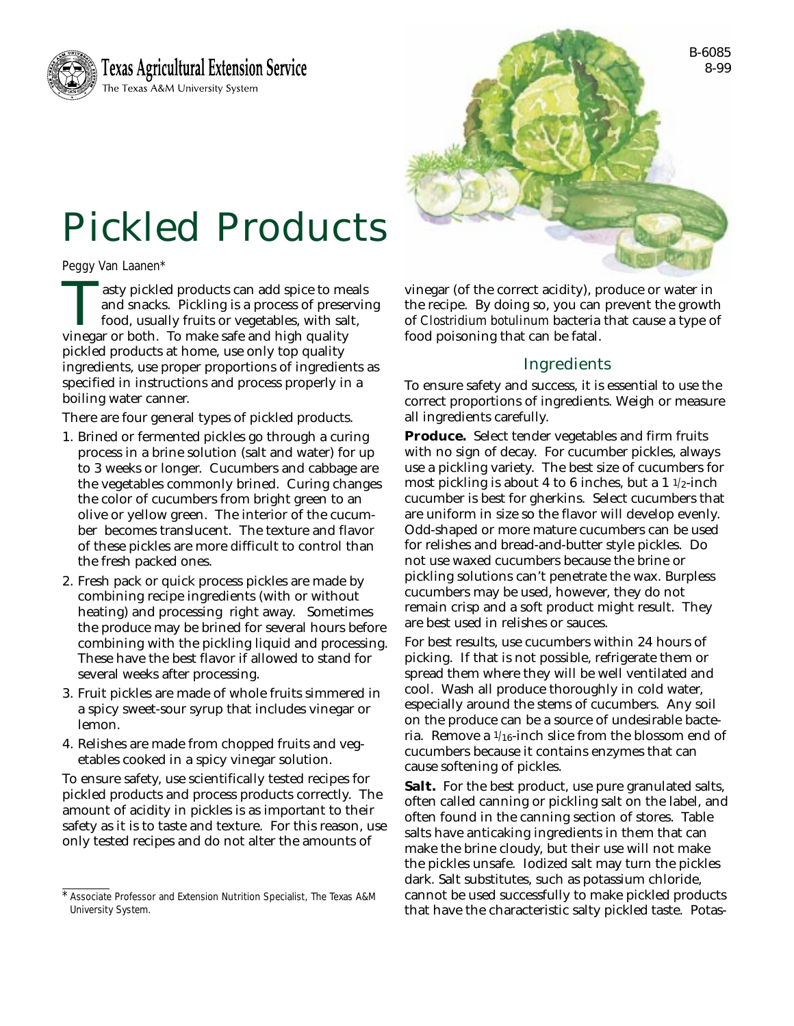



# Pickled Products

Peggy Van Laanen\*

asty pickled products can add spice to meals<br>and snacks. Pickling is a process of preservir<br>food, usually fruits or vegetables, with salt,<br>vinegar or both. To make safe and high quality and snacks. Pickling is a process of preserving food, usually fruits or vegetables, with salt, vinegar or both. To make safe and high quality pickled products at home, use only top quality ingredients, use proper proportions of ingredients as specified in instructions and process properly in a boiling water canner.

There are four general types of pickled products.

- 1. Brined or fermented pickles go through a curing process in a brine solution (salt and water) for up to 3 weeks or longer. Cucumbers and cabbage are the vegetables commonly brined. Curing changes the color of cucumbers from bright green to an olive or yellow green. The interior of the cucumber becomes translucent. The texture and flavor of these pickles are more difficult to control than the fresh packed ones.
- 2. Fresh pack or quick process pickles are made by combining recipe ingredients (with or without heating) and processing right away. Sometimes the produce may be brined for several hours before combining with the pickling liquid and processing. These have the best flavor if allowed to stand for several weeks after processing.
- 3. Fruit pickles are made of whole fruits simmered in a spicy sweet-sour syrup that includes vinegar or lemon.
- 4. Relishes are made from chopped fruits and vegetables cooked in a spicy vinegar solution.

To ensure safety, use scientifically tested recipes for pickled products and process products correctly. The amount of acidity in pickles is as important to their safety as it is to taste and texture. For this reason, use only tested recipes and do not alter the amounts of

vinegar (of the correct acidity), produce or water in the recipe. By doing so, you can prevent the growth of *Clostridium botulinum* bacteria that cause a type of food poisoning that can be fatal.

# Ingredients

To ensure safety and success, it is essential to use the correct proportions of ingredients. Weigh or measure all ingredients carefully.

**Produce.** Select tender vegetables and firm fruits with no sign of decay. For cucumber pickles, always use a pickling variety. The best size of cucumbers for most pickling is about 4 to 6 inches, but a  $1\frac{1}{2}$ -inch cucumber is best for gherkins. Select cucumbers that are uniform in size so the flavor will develop evenly. Odd-shaped or more mature cucumbers can be used for relishes and bread-and-butter style pickles. Do not use waxed cucumbers because the brine or pickling solutions can't penetrate the wax. Burpless cucumbers may be used, however, they do not remain crisp and a soft product might result. They are best used in relishes or sauces.

For best results, use cucumbers within 24 hours of picking. If that is not possible, refrigerate them or spread them where they will be well ventilated and cool. Wash all produce thoroughly in cold water, especially around the stems of cucumbers. Any soil on the produce can be a source of undesirable bacteria. Remove a 1/16-inch slice from the blossom end of cucumbers because it contains enzymes that can cause softening of pickles.

**Salt.** For the best product, use pure granulated salts, often called canning or pickling salt on the label, and often found in the canning section of stores. Table salts have anticaking ingredients in them that can make the brine cloudy, but their use will not make the pickles unsafe. Iodized salt may turn the pickles dark. Salt substitutes, such as potassium chloride, cannot be used successfully to make pickled products that have the characteristic salty pickled taste. Potas-

<sup>\*</sup>Associate Professor and Extension Nutrition Specialist, The Texas A&M University System.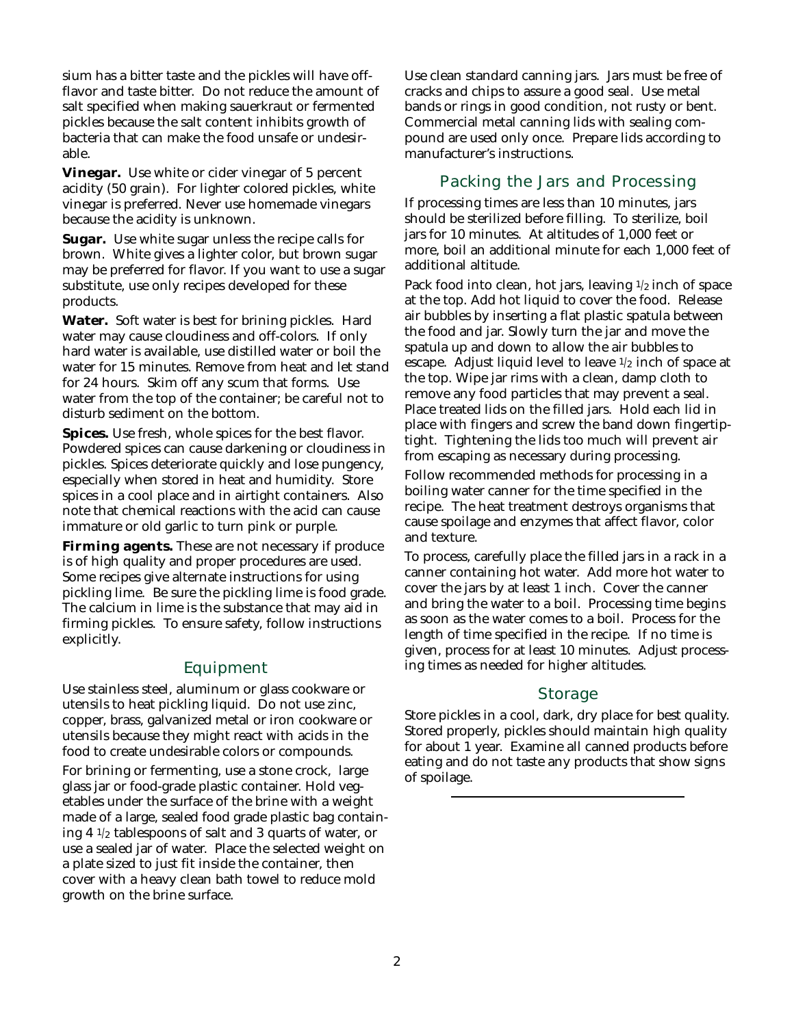sium has a bitter taste and the pickles will have offflavor and taste bitter. Do not reduce the amount of salt specified when making sauerkraut or fermented pickles because the salt content inhibits growth of bacteria that can make the food unsafe or undesirable.

**Vinegar.** Use white or cider vinegar of 5 percent acidity (50 grain). For lighter colored pickles, white vinegar is preferred. Never use homemade vinegars because the acidity is unknown.

**Sugar.** Use white sugar unless the recipe calls for brown. White gives a lighter color, but brown sugar may be preferred for flavor. If you want to use a sugar substitute, use only recipes developed for these products.

**Water.** Soft water is best for brining pickles. Hard water may cause cloudiness and off-colors. If only hard water is available, use distilled water or boil the water for 15 minutes. Remove from heat and let stand for 24 hours. Skim off any scum that forms. Use water from the top of the container; be careful not to disturb sediment on the bottom.

**Spices.** Use fresh, whole spices for the best flavor. Powdered spices can cause darkening or cloudiness in pickles. Spices deteriorate quickly and lose pungency, especially when stored in heat and humidity. Store spices in a cool place and in airtight containers. Also note that chemical reactions with the acid can cause immature or old garlic to turn pink or purple.

**Firming agents.** These are not necessary if produce is of high quality and proper procedures are used. Some recipes give alternate instructions for using pickling lime. Be sure the pickling lime is food grade. The calcium in lime is the substance that may aid in firming pickles. To ensure safety, follow instructions explicitly.

### Equipment

Use stainless steel, aluminum or glass cookware or utensils to heat pickling liquid. Do not use zinc, copper, brass, galvanized metal or iron cookware or utensils because they might react with acids in the food to create undesirable colors or compounds.

For brining or fermenting, use a stone crock, large glass jar or food-grade plastic container. Hold vegetables under the surface of the brine with a weight made of a large, sealed food grade plastic bag containing 4 1/2 tablespoons of salt and 3 quarts of water, or use a sealed jar of water. Place the selected weight on a plate sized to just fit inside the container, then cover with a heavy clean bath towel to reduce mold growth on the brine surface.

Use clean standard canning jars. Jars must be free of cracks and chips to assure a good seal. Use metal bands or rings in good condition, not rusty or bent. Commercial metal canning lids with sealing compound are used only once. Prepare lids according to manufacturer's instructions.

# Packing the Jars and Processing

If processing times are less than 10 minutes, jars should be sterilized before filling. To sterilize, boil jars for 10 minutes. At altitudes of 1,000 feet or more, boil an additional minute for each 1,000 feet of additional altitude.

Pack food into clean, hot jars, leaving  $1/2$  inch of space at the top. Add hot liquid to cover the food. Release air bubbles by inserting a flat plastic spatula between the food and jar. Slowly turn the jar and move the spatula up and down to allow the air bubbles to escape. Adjust liquid level to leave 1/2 inch of space at the top. Wipe jar rims with a clean, damp cloth to remove any food particles that may prevent a seal. Place treated lids on the filled jars. Hold each lid in place with fingers and screw the band down fingertiptight. Tightening the lids too much will prevent air from escaping as necessary during processing.

Follow recommended methods for processing in a boiling water canner for the time specified in the recipe. The heat treatment destroys organisms that cause spoilage and enzymes that affect flavor, color and texture.

To process, carefully place the filled jars in a rack in a canner containing hot water. Add more hot water to cover the jars by at least 1 inch. Cover the canner and bring the water to a boil. Processing time begins as soon as the water comes to a boil. Process for the length of time specified in the recipe. If no time is given, process for at least 10 minutes. Adjust processing times as needed for higher altitudes.

#### Storage

Store pickles in a cool, dark, dry place for best quality. Stored properly, pickles should maintain high quality for about 1 year. Examine all canned products before eating and do not taste any products that show signs of spoilage.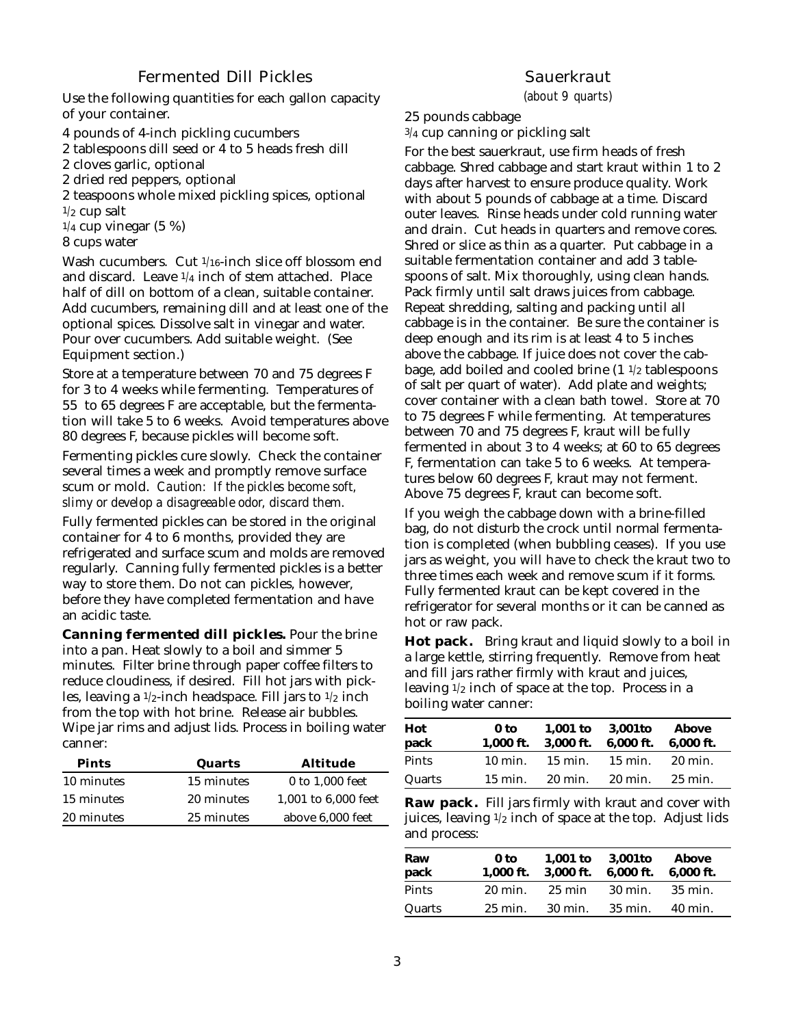## Fermented Dill Pickles

Use the following quantities for each gallon capacity of your container.

4 pounds of 4-inch pickling cucumbers

2 tablespoons dill seed or 4 to 5 heads fresh dill

2 cloves garlic, optional

2 dried red peppers, optional

2 teaspoons whole mixed pickling spices, optional  $1/2$  cup salt

 $1/4$  cup vinegar (5 %)

8 cups water

Wash cucumbers. Cut 1/16-inch slice off blossom end and discard. Leave 1/4 inch of stem attached. Place half of dill on bottom of a clean, suitable container. Add cucumbers, remaining dill and at least one of the optional spices. Dissolve salt in vinegar and water. Pour over cucumbers. Add suitable weight. (See Equipment section.)

Store at a temperature between 70 and 75 degrees F for 3 to 4 weeks while fermenting. Temperatures of 55 to 65 degrees F are acceptable, but the fermentation will take 5 to 6 weeks. Avoid temperatures above 80 degrees F, because pickles will become soft.

Fermenting pickles cure slowly. Check the container several times a week and promptly remove surface scum or mold. *Caution: If the pickles become soft, slimy or develop a disagreeable odor, discard them.*

Fully fermented pickles can be stored in the original container for 4 to 6 months, provided they are refrigerated and surface scum and molds are removed regularly. Canning fully fermented pickles is a better way to store them. Do not can pickles, however, before they have completed fermentation and have an acidic taste.

**Canning fermented dill pickles.** Pour the brine into a pan. Heat slowly to a boil and simmer 5 minutes. Filter brine through paper coffee filters to reduce cloudiness, if desired. Fill hot jars with pickles, leaving a  $1/2$ -inch headspace. Fill jars to  $1/2$  inch from the top with hot brine. Release air bubbles. Wipe jar rims and adjust lids. Process in boiling water canner:

| Pints      | Quarts     | Altitude            |
|------------|------------|---------------------|
| 10 minutes | 15 minutes | 0 to 1,000 feet     |
| 15 minutes | 20 minutes | 1,001 to 6,000 feet |
| 20 minutes | 25 minutes | above 6,000 feet    |
|            |            |                     |

# **Sauerkraut**

(about 9 quarts)

25 pounds cabbage

3/4 cup canning or pickling salt

For the best sauerkraut, use firm heads of fresh cabbage. Shred cabbage and start kraut within 1 to 2 days after harvest to ensure produce quality. Work with about 5 pounds of cabbage at a time. Discard outer leaves. Rinse heads under cold running water and drain. Cut heads in quarters and remove cores. Shred or slice as thin as a quarter. Put cabbage in a suitable fermentation container and add 3 tablespoons of salt. Mix thoroughly, using clean hands. Pack firmly until salt draws juices from cabbage. Repeat shredding, salting and packing until all cabbage is in the container. Be sure the container is deep enough and its rim is at least 4 to 5 inches above the cabbage. If juice does not cover the cabbage, add boiled and cooled brine  $(1\frac{1}{2})$  tablespoons of salt per quart of water). Add plate and weights; cover container with a clean bath towel. Store at 70 to 75 degrees F while fermenting. At temperatures between 70 and 75 degrees F, kraut will be fully fermented in about 3 to 4 weeks; at 60 to 65 degrees F, fermentation can take 5 to 6 weeks. At temperatures below 60 degrees F, kraut may not ferment. Above 75 degrees F, kraut can become soft.

If you weigh the cabbage down with a brine-filled bag, do not disturb the crock until normal fermentation is completed (when bubbling ceases). If you use jars as weight, you will have to check the kraut two to three times each week and remove scum if it forms. Fully fermented kraut can be kept covered in the refrigerator for several months or it can be canned as hot or raw pack.

**Hot pack.** Bring kraut and liquid slowly to a boil in a large kettle, stirring frequently. Remove from heat and fill jars rather firmly with kraut and juices, leaving  $1/2$  inch of space at the top. Process in a boiling water canner:

| Hot<br>pack | 0 to<br>$1.000$ ft. | $1.001$ to<br>3,000 ft. | 3,001to<br>6,000 ft. | <b>Above</b><br>$6.000$ ft. |
|-------------|---------------------|-------------------------|----------------------|-----------------------------|
| Pints       | $10 \text{ min.}$   | $15 \text{ min.}$       | 15 min.              | 20 min.                     |
| Quarts      | $15 \text{ min.}$   | 20 min.                 | 20 min.              | 25 min.                     |

**Raw pack.** Fill jars firmly with kraut and cover with juices, leaving 1/2 inch of space at the top. Adjust lids and process:

| Raw<br>pack | 0 to<br>$1.000$ ft. | $1.001$ to<br>3,000 ft. | 3.001to<br>$6.000$ ft. | Above<br>6.000 ft. |
|-------------|---------------------|-------------------------|------------------------|--------------------|
| Pints       | $20 \text{ min}$ .  | $25 \text{ min}$        | $30 \text{ min}$ .     | 35 min.            |
| Quarts      | $25 \text{ min}$ .  | 30 min.                 | 35 min.                | 40 min.            |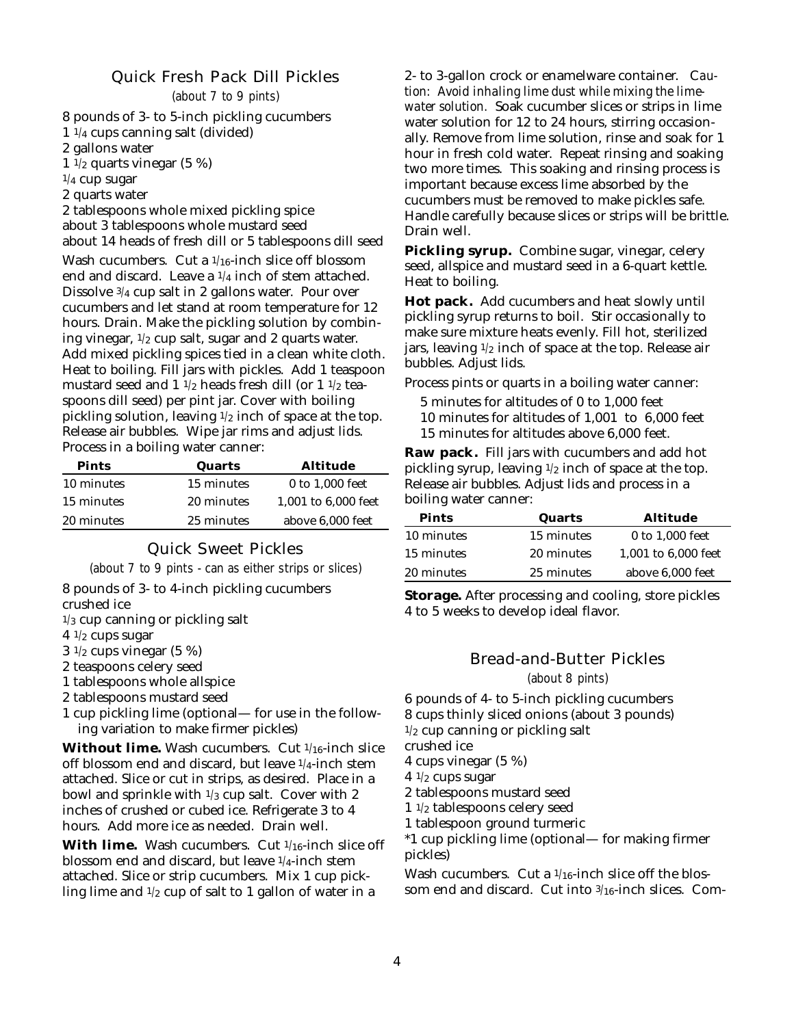## Quick Fresh Pack Dill Pickles

(about 7 to 9 pints)

8 pounds of 3- to 5-inch pickling cucumbers  $1\frac{1}{4}$  cups canning salt (divided) 2 gallons water  $1\overline{1}/2$  quarts vinegar (5 %)  $1/4$  cup sugar 2 quarts water

2 tablespoons whole mixed pickling spice about 3 tablespoons whole mustard seed about 14 heads of fresh dill or 5 tablespoons dill seed

Wash cucumbers. Cut a 1/16-inch slice off blossom end and discard. Leave a  $1/4$  inch of stem attached. Dissolve 3/4 cup salt in 2 gallons water. Pour over cucumbers and let stand at room temperature for 12 hours. Drain. Make the pickling solution by combining vinegar,  $1/2$  cup salt, sugar and 2 quarts water. Add mixed pickling spices tied in a clean white cloth. Heat to boiling. Fill jars with pickles. Add 1 teaspoon mustard seed and  $1 \frac{1}{2}$  heads fresh dill (or  $1 \frac{1}{2}$  teaspoons dill seed) per pint jar. Cover with boiling pickling solution, leaving  $1/2$  inch of space at the top. Release air bubbles. Wipe jar rims and adjust lids. Process in a boiling water canner:

| Pints      | Quarts     | Altitude            |
|------------|------------|---------------------|
| 10 minutes | 15 minutes | 0 to 1,000 feet     |
| 15 minutes | 20 minutes | 1,001 to 6,000 feet |
| 20 minutes | 25 minutes | above 6,000 feet    |

## Quick Sweet Pickles

(about 7 to 9 pints - can as either strips or slices)

8 pounds of 3- to 4-inch pickling cucumbers crushed ice

 $1/3$  cup canning or pickling salt

 $4 \frac{1}{2}$  cups sugar

 $3\frac{1}{2}$  cups vinegar (5 %)

2 teaspoons celery seed

1 tablespoons whole allspice

2 tablespoons mustard seed

1 cup pickling lime (optional— for use in the following variation to make firmer pickles)

**Without lime.** Wash cucumbers. Cut 1/16-inch slice off blossom end and discard, but leave 1/4-inch stem attached. Slice or cut in strips, as desired. Place in a bowl and sprinkle with  $1/3$  cup salt. Cover with 2 inches of crushed or cubed ice. Refrigerate 3 to 4 hours. Add more ice as needed. Drain well.

**With lime.** Wash cucumbers. Cut 1/16-inch slice off blossom end and discard, but leave 1/4-inch stem attached. Slice or strip cucumbers. Mix 1 cup pickling lime and  $1/2$  cup of salt to 1 gallon of water in a

2- to 3-gallon crock or enamelware container. C*aution: Avoid inhaling lime dust while mixing the limewater solution.* Soak cucumber slices or strips in lime water solution for 12 to 24 hours, stirring occasionally. Remove from lime solution, rinse and soak for 1 hour in fresh cold water. Repeat rinsing and soaking two more times. This soaking and rinsing process is important because excess lime absorbed by the cucumbers must be removed to make pickles safe. Handle carefully because slices or strips will be brittle. Drain well.

**Pickling syrup.** Combine sugar, vinegar, celery seed, allspice and mustard seed in a 6-quart kettle. Heat to boiling.

**Hot pack.** Add cucumbers and heat slowly until pickling syrup returns to boil. Stir occasionally to make sure mixture heats evenly. Fill hot, sterilized jars, leaving 1/2 inch of space at the top. Release air bubbles. Adjust lids.

Process pints or quarts in a boiling water canner:

5 minutes for altitudes of 0 to 1,000 feet 10 minutes for altitudes of 1,001 to 6,000 feet 15 minutes for altitudes above 6,000 feet.

**Raw pack.** Fill jars with cucumbers and add hot pickling syrup, leaving  $1/2$  inch of space at the top. Release air bubbles. Adjust lids and process in a boiling water canner:

| Pints      | Quarts     | <b>Altitude</b>     |
|------------|------------|---------------------|
| 10 minutes | 15 minutes | 0 to 1,000 feet     |
| 15 minutes | 20 minutes | 1.001 to 6.000 feet |
| 20 minutes | 25 minutes | above 6,000 feet    |

**Storage.** After processing and cooling, store pickles 4 to 5 weeks to develop ideal flavor.

#### Bread-and-Butter Pickles

(about 8 pints)

6 pounds of 4- to 5-inch pickling cucumbers 8 cups thinly sliced onions (about 3 pounds)  $1/2$  cup canning or pickling salt

crushed ice

4 cups vinegar (5 %)

 $4 \frac{1}{2}$  cups sugar

2 tablespoons mustard seed

1 1/2 tablespoons celery seed

1 tablespoon ground turmeric

\*1 cup pickling lime (optional— for making firmer pickles)

Wash cucumbers. Cut a  $1/16$ -inch slice off the blossom end and discard. Cut into 3/16-inch slices. Com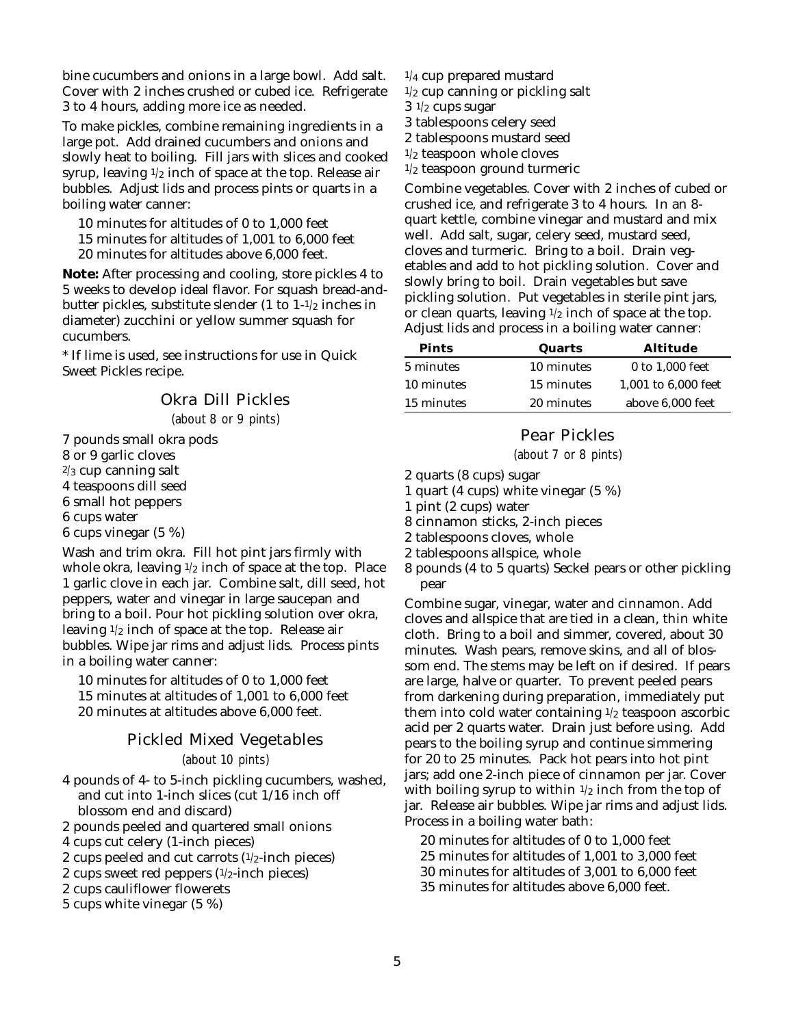bine cucumbers and onions in a large bowl. Add salt. Cover with 2 inches crushed or cubed ice. Refrigerate 3 to 4 hours, adding more ice as needed.

To make pickles, combine remaining ingredients in a large pot. Add drained cucumbers and onions and slowly heat to boiling. Fill jars with slices and cooked syrup, leaving  $1/2$  inch of space at the top. Release air bubbles. Adjust lids and process pints or quarts in a boiling water canner:

10 minutes for altitudes of 0 to 1,000 feet

15 minutes for altitudes of 1,001 to 6,000 feet

20 minutes for altitudes above 6,000 feet.

**Note:** After processing and cooling, store pickles 4 to 5 weeks to develop ideal flavor. For squash bread-andbutter pickles, substitute slender (1 to 1-1/2 inches in diameter) zucchini or yellow summer squash for cucumbers.

\* If lime is used, see instructions for use in Quick Sweet Pickles recipe.

## Okra Dill Pickles

(about 8 or 9 pints)

7 pounds small okra pods 8 or 9 garlic cloves  $2/3$  cup canning salt 4 teaspoons dill seed 6 small hot peppers 6 cups water 6 cups vinegar (5 %)

Wash and trim okra. Fill hot pint jars firmly with whole okra, leaving  $1/2$  inch of space at the top. Place 1 garlic clove in each jar. Combine salt, dill seed, hot peppers, water and vinegar in large saucepan and bring to a boil. Pour hot pickling solution over okra, leaving  $1/2$  inch of space at the top. Release air bubbles. Wipe jar rims and adjust lids. Process pints in a boiling water canner:

10 minutes for altitudes of 0 to 1,000 feet 15 minutes at altitudes of 1,001 to 6,000 feet 20 minutes at altitudes above 6,000 feet.

### Pickled Mixed Vegetables

(about 10 pints)

4 pounds of 4- to 5-inch pickling cucumbers, washed, and cut into 1-inch slices (cut 1/16 inch off blossom end and discard)

2 pounds peeled and quartered small onions

4 cups cut celery (1-inch pieces)

2 cups peeled and cut carrots  $(1/2$ -inch pieces)

2 cups sweet red peppers (1/2-inch pieces)

2 cups cauliflower flowerets

5 cups white vinegar (5 %)

- $1/4$  cup prepared mustard
- $1/2$  cup canning or pickling salt
- $3 \frac{1}{2}$  cups sugar
- 3 tablespoons celery seed
- 2 tablespoons mustard seed
- $1/2$  teaspoon whole cloves
- 1/2 teaspoon ground turmeric

Combine vegetables. Cover with 2 inches of cubed or crushed ice, and refrigerate 3 to 4 hours. In an 8 quart kettle, combine vinegar and mustard and mix well. Add salt, sugar, celery seed, mustard seed, cloves and turmeric. Bring to a boil. Drain vegetables and add to hot pickling solution. Cover and slowly bring to boil. Drain vegetables but save pickling solution. Put vegetables in sterile pint jars, or clean quarts, leaving  $1/2$  inch of space at the top. Adjust lids and process in a boiling water canner:

| Pints      | Quarts     | <b>Altitude</b>     |
|------------|------------|---------------------|
| 5 minutes  | 10 minutes | 0 to 1,000 feet     |
| 10 minutes | 15 minutes | 1,001 to 6,000 feet |
| 15 minutes | 20 minutes | above 6,000 feet    |
|            |            |                     |

# Pear Pickles

(about 7 or 8 pints)

2 quarts (8 cups) sugar

- 1 quart (4 cups) white vinegar (5 %)
- 1 pint (2 cups) water
- 8 cinnamon sticks, 2-inch pieces
- 2 tablespoons cloves, whole
- 2 tablespoons allspice, whole
- 8 pounds (4 to 5 quarts) Seckel pears or other pickling pear

Combine sugar, vinegar, water and cinnamon. Add cloves and allspice that are tied in a clean, thin white cloth. Bring to a boil and simmer, covered, about 30 minutes. Wash pears, remove skins, and all of blossom end. The stems may be left on if desired. If pears are large, halve or quarter. To prevent peeled pears from darkening during preparation, immediately put them into cold water containing  $1/2$  teaspoon ascorbic acid per 2 quarts water. Drain just before using. Add pears to the boiling syrup and continue simmering for 20 to 25 minutes. Pack hot pears into hot pint jars; add one 2-inch piece of cinnamon per jar. Cover with boiling syrup to within  $1/2$  inch from the top of jar. Release air bubbles. Wipe jar rims and adjust lids. Process in a boiling water bath:

20 minutes for altitudes of 0 to 1,000 feet 25 minutes for altitudes of 1,001 to 3,000 feet 30 minutes for altitudes of 3,001 to 6,000 feet 35 minutes for altitudes above 6,000 feet.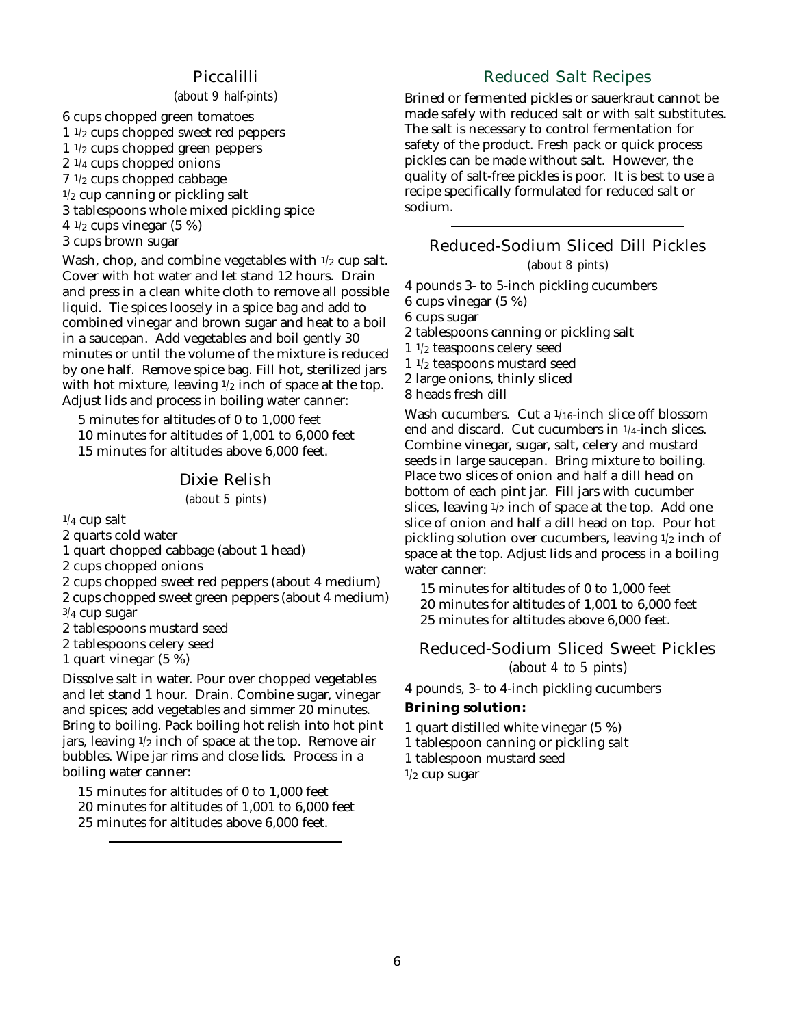#### Piccalilli

(about 9 half-pints)

6 cups chopped green tomatoes  $1 \frac{1}{2}$  cups chopped sweet red peppers 1 1/2 cups chopped green peppers  $2 \frac{1}{4}$  cups chopped onions  $7 \frac{1}{2}$  cups chopped cabbage  $1/2$  cup canning or pickling salt 3 tablespoons whole mixed pickling spice 4  $\frac{1}{2}$  cups vinegar (5 %) 3 cups brown sugar

Wash, chop, and combine vegetables with  $1/2$  cup salt. Cover with hot water and let stand 12 hours. Drain and press in a clean white cloth to remove all possible liquid. Tie spices loosely in a spice bag and add to combined vinegar and brown sugar and heat to a boil in a saucepan. Add vegetables and boil gently 30 minutes or until the volume of the mixture is reduced by one half. Remove spice bag. Fill hot, sterilized jars with hot mixture, leaving  $1/2$  inch of space at the top. Adjust lids and process in boiling water canner:

5 minutes for altitudes of 0 to 1,000 feet 10 minutes for altitudes of 1,001 to 6,000 feet 15 minutes for altitudes above 6,000 feet.

#### Dixie Relish

(about 5 pints)

 $1/4$  cup salt

2 quarts cold water

1 quart chopped cabbage (about 1 head)

2 cups chopped onions

- 2 cups chopped sweet red peppers (about 4 medium)
- 2 cups chopped sweet green peppers (about 4 medium) 3/4 cup sugar
- 2 tablespoons mustard seed
- 2 tablespoons celery seed

1 quart vinegar (5 %)

Dissolve salt in water. Pour over chopped vegetables and let stand 1 hour. Drain. Combine sugar, vinegar and spices; add vegetables and simmer 20 minutes. Bring to boiling. Pack boiling hot relish into hot pint jars, leaving 1/2 inch of space at the top. Remove air bubbles. Wipe jar rims and close lids. Process in a boiling water canner:

15 minutes for altitudes of 0 to 1,000 feet

- 20 minutes for altitudes of 1,001 to 6,000 feet
- 25 minutes for altitudes above 6,000 feet.

# Reduced Salt Recipes

Brined or fermented pickles or sauerkraut cannot be made safely with reduced salt or with salt substitutes. The salt is necessary to control fermentation for safety of the product. Fresh pack or quick process pickles can be made without salt. However, the quality of salt-free pickles is poor. It is best to use a recipe specifically formulated for reduced salt or sodium.

# Reduced-Sodium Sliced Dill Pickles

(about 8 pints)

4 pounds 3- to 5-inch pickling cucumbers 6 cups vinegar (5 %) 6 cups sugar 2 tablespoons canning or pickling salt 1 1/2 teaspoons celery seed 1 1/2 teaspoons mustard seed 2 large onions, thinly sliced 8 heads fresh dill Wash cucumbers. Cut a 1/16-inch slice off blossom

end and discard. Cut cucumbers in 1/4-inch slices. Combine vinegar, sugar, salt, celery and mustard seeds in large saucepan. Bring mixture to boiling. Place two slices of onion and half a dill head on bottom of each pint jar. Fill jars with cucumber slices, leaving  $1/2$  inch of space at the top. Add one slice of onion and half a dill head on top. Pour hot pickling solution over cucumbers, leaving 1/2 inch of space at the top. Adjust lids and process in a boiling water canner:

15 minutes for altitudes of 0 to 1,000 feet 20 minutes for altitudes of 1,001 to 6,000 feet 25 minutes for altitudes above 6,000 feet.

## Reduced-Sodium Sliced Sweet Pickles

(about 4 to 5 pints)

4 pounds, 3- to 4-inch pickling cucumbers

#### **Brining solution:**

- 1 quart distilled white vinegar (5 %)
- 1 tablespoon canning or pickling salt
- 1 tablespoon mustard seed

 $1/2$  cup sugar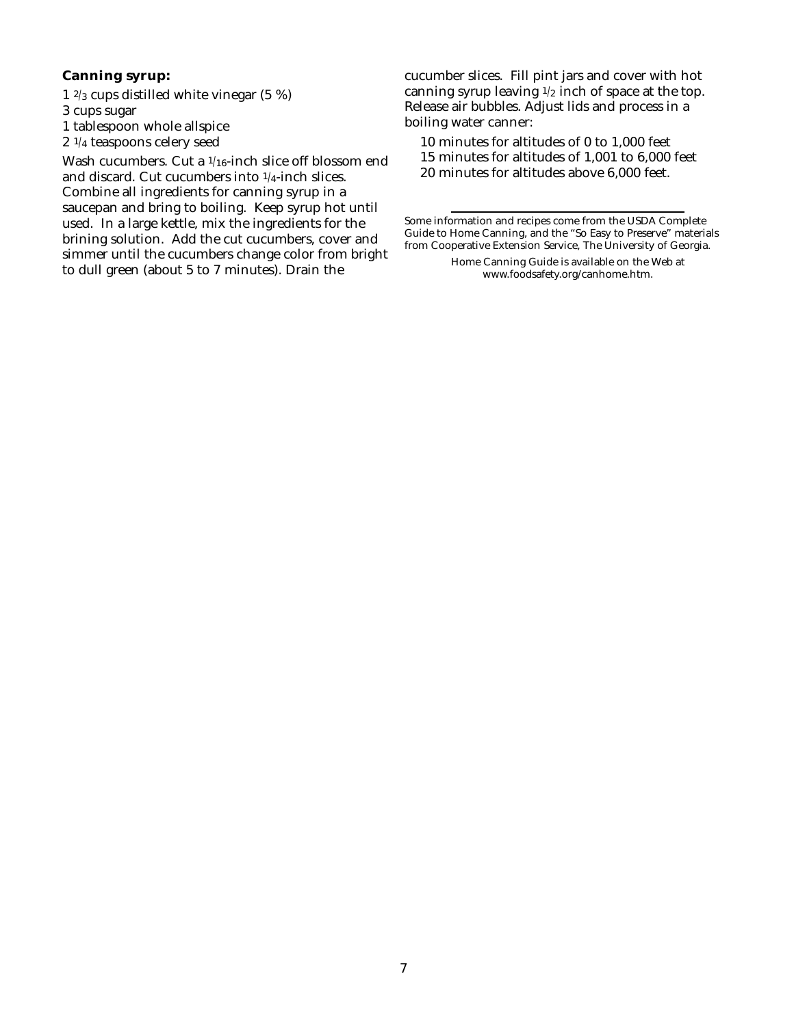#### **Canning syrup:**

1 2/3 cups distilled white vinegar (5 %) 3 cups sugar 1 tablespoon whole allspice 2 1/4 teaspoons celery seed

Wash cucumbers. Cut a 1/16-inch slice off blossom end and discard. Cut cucumbers into 1/4-inch slices. Combine all ingredients for canning syrup in a saucepan and bring to boiling. Keep syrup hot until used. In a large kettle, mix the ingredients for the brining solution. Add the cut cucumbers, cover and simmer until the cucumbers change color from bright to dull green (about 5 to 7 minutes). Drain the

cucumber slices. Fill pint jars and cover with hot canning syrup leaving  $1/2$  inch of space at the top. Release air bubbles. Adjust lids and process in a boiling water canner:

10 minutes for altitudes of 0 to 1,000 feet 15 minutes for altitudes of 1,001 to 6,000 feet 20 minutes for altitudes above 6,000 feet.

Some information and recipes come from the USDA Complete Guide to Home Canning, and the "So Easy to Preserve" materials from Cooperative Extension Service, The University of Georgia.

> Home Canning Guide is available on the Web at www.foodsafety.org/canhome.htm.